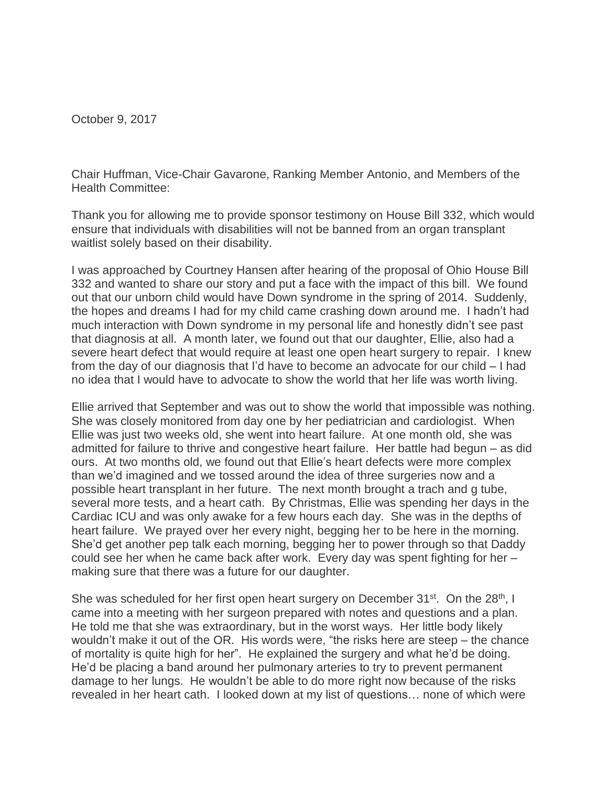October 9, 2017

Chair Huffman, Vice-Chair Gavarone, Ranking Member Antonio, and Members of the Health Committee:

Thank you for allowing me to provide sponsor testimony on House Bill 332, which would ensure that individuals with disabilities will not be banned from an organ transplant waitlist solely based on their disability.

I was approached by Courtney Hansen after hearing of the proposal of Ohio House Bill 332 and wanted to share our story and put a face with the impact of this bill. We found out that our unborn child would have Down syndrome in the spring of 2014. Suddenly, the hopes and dreams I had for my child came crashing down around me. I hadn't had much interaction with Down syndrome in my personal life and honestly didn't see past that diagnosis at all. A month later, we found out that our daughter, Ellie, also had a severe heart defect that would require at least one open heart surgery to repair. I knew from the day of our diagnosis that I'd have to become an advocate for our child – I had no idea that I would have to advocate to show the world that her life was worth living.

Ellie arrived that September and was out to show the world that impossible was nothing. She was closely monitored from day one by her pediatrician and cardiologist. When Ellie was just two weeks old, she went into heart failure. At one month old, she was admitted for failure to thrive and congestive heart failure. Her battle had begun – as did ours. At two months old, we found out that Ellie's heart defects were more complex than we'd imagined and we tossed around the idea of three surgeries now and a possible heart transplant in her future. The next month brought a trach and g tube, several more tests, and a heart cath. By Christmas, Ellie was spending her days in the Cardiac ICU and was only awake for a few hours each day. She was in the depths of heart failure. We prayed over her every night, begging her to be here in the morning. She'd get another pep talk each morning, begging her to power through so that Daddy could see her when he came back after work. Every day was spent fighting for her – making sure that there was a future for our daughter.

She was scheduled for her first open heart surgery on December 31<sup>st</sup>. On the 28<sup>th</sup>, I came into a meeting with her surgeon prepared with notes and questions and a plan. He told me that she was extraordinary, but in the worst ways. Her little body likely wouldn't make it out of the OR. His words were, "the risks here are steep – the chance of mortality is quite high for her". He explained the surgery and what he'd be doing. He'd be placing a band around her pulmonary arteries to try to prevent permanent damage to her lungs. He wouldn't be able to do more right now because of the risks revealed in her heart cath. I looked down at my list of questions… none of which were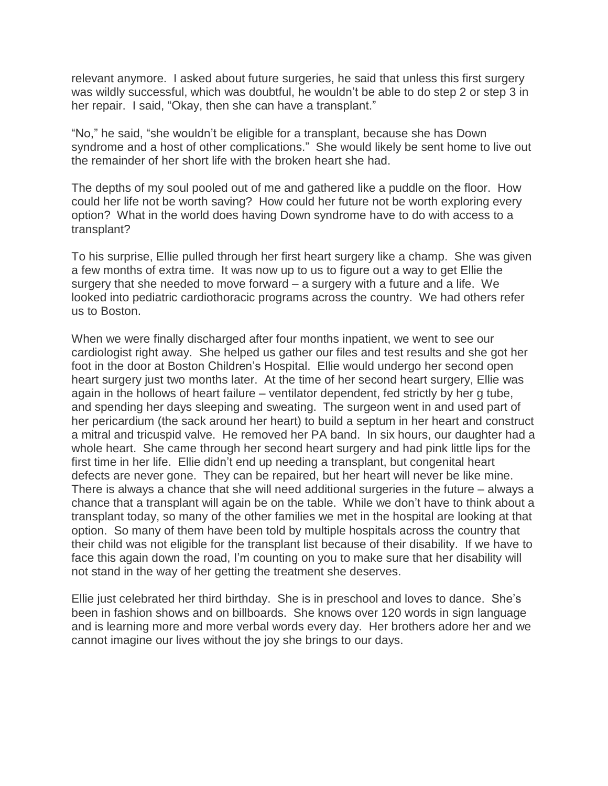relevant anymore. I asked about future surgeries, he said that unless this first surgery was wildly successful, which was doubtful, he wouldn't be able to do step 2 or step 3 in her repair. I said, "Okay, then she can have a transplant."

"No," he said, "she wouldn't be eligible for a transplant, because she has Down syndrome and a host of other complications." She would likely be sent home to live out the remainder of her short life with the broken heart she had.

The depths of my soul pooled out of me and gathered like a puddle on the floor. How could her life not be worth saving? How could her future not be worth exploring every option? What in the world does having Down syndrome have to do with access to a transplant?

To his surprise, Ellie pulled through her first heart surgery like a champ. She was given a few months of extra time. It was now up to us to figure out a way to get Ellie the surgery that she needed to move forward – a surgery with a future and a life. We looked into pediatric cardiothoracic programs across the country. We had others refer us to Boston.

When we were finally discharged after four months inpatient, we went to see our cardiologist right away. She helped us gather our files and test results and she got her foot in the door at Boston Children's Hospital. Ellie would undergo her second open heart surgery just two months later. At the time of her second heart surgery, Ellie was again in the hollows of heart failure – ventilator dependent, fed strictly by her g tube, and spending her days sleeping and sweating. The surgeon went in and used part of her pericardium (the sack around her heart) to build a septum in her heart and construct a mitral and tricuspid valve. He removed her PA band. In six hours, our daughter had a whole heart. She came through her second heart surgery and had pink little lips for the first time in her life. Ellie didn't end up needing a transplant, but congenital heart defects are never gone. They can be repaired, but her heart will never be like mine. There is always a chance that she will need additional surgeries in the future – always a chance that a transplant will again be on the table. While we don't have to think about a transplant today, so many of the other families we met in the hospital are looking at that option. So many of them have been told by multiple hospitals across the country that their child was not eligible for the transplant list because of their disability. If we have to face this again down the road, I'm counting on you to make sure that her disability will not stand in the way of her getting the treatment she deserves.

Ellie just celebrated her third birthday. She is in preschool and loves to dance. She's been in fashion shows and on billboards. She knows over 120 words in sign language and is learning more and more verbal words every day. Her brothers adore her and we cannot imagine our lives without the joy she brings to our days.